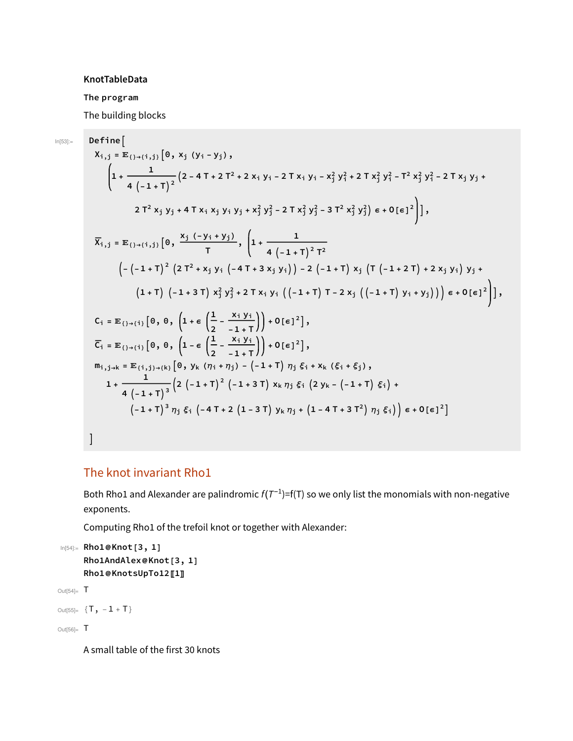## KnotTableData

## The program

 $In [53]:=$ 

The building blocks

$$
Define[\begin{aligned}\nX_{i,j} &= \mathbb{E}_{\{j+i,j\}}\left[0, x_{j} (y_{i} - y_{j}), \\
&\left(1 + \frac{1}{4\left(-1 + T\right)^{2}}\left(2 - 4T + 2T^{2} + 2x_{i} y_{i} - 2Tx_{i} y_{i} - x_{j}^{2} y_{i}^{2} + 2Tx_{j}^{2} y_{i}^{2} - T^{2}x_{j}^{2} y_{i}^{2} - 2Tx_{j} y_{j} + 2Tx_{j}^{2} x_{j}^{2} - 2Tx_{j} y_{j} + 2Tx_{j}^{2} x_{j}^{2} - 2Tx_{j} x_{j}^{2} y_{j}^{2} - 2Tx_{j}^{2} x_{j}^{2} - 2Tx_{j}^{2} x_{j}^{2} - 2Tx_{j}^{2} x_{j}^{2} - 2Tx_{j}^{2} x_{j}^{2} - 2Tx_{j}^{2} x_{j}^{2} - 2Tx_{j}^{2} x_{j}^{2} - 2Tx_{j}^{2} x_{j}^{2} - 2Tx_{j}^{2} x_{j}^{2} - 2Tx_{j}^{2} x_{j}^{2} - 2Tx_{j}^{2} x_{j}^{2} - 2Tx_{j}^{2} x_{j}^{2} - 2Tx_{j}^{2} x_{j}^{2} - 2Tx_{j}^{2} x_{j}^{2} x_{j}^{2} - 2Tx_{j}^{2} x_{j}^{2} x_{j}^{2} - 2Tx_{j}^{2} x_{j}^{2} x_{j}^{2} - 2Tx_{j}^{2} x_{j}^{2} x_{j}^{2} - 2Tx_{j}^{2} x_{j}^{2} x_{j}^{2} - 2Tx_{j}^{2} x_{j}^{2} x_{j}^{2} - 2Tx_{j}^{2} x_{j}^{2} x_{j}^{2} - 2Tx_{j}^{2} x_{j}^{2} x_{j}^{2} - 2Tx_{j}^{2} x_{j}^{2} x_{j}^{2} - 2Tx_{j}^{2} x_{j}^{2} x_{j}^{2} - 2Tx_{j}^{2} x_{j}^{2} x_{j}^{2} - 2Tx_{j}^{2} x_{j}^{2} x_{j}
$$

## The knot invariant Rho1

Both Rho1 and Alexander are palindromic  $f(T^{-1})=f(T)$  so we only list the monomials with non-negative exponents.

Computing Rho1 of the trefoil knot or together with Alexander:

```
In[54]:= Rho1@Knot[3, 1]
    Rho1AndAlex@Knot[3, 1]
    Rho1@KnotsUpTo12[1]
```
Out $[54]$ =  $T$ 

Out[55]=  $\{T, -1 + T\}$ 

Out[56]= T

A small table of the first 30 knots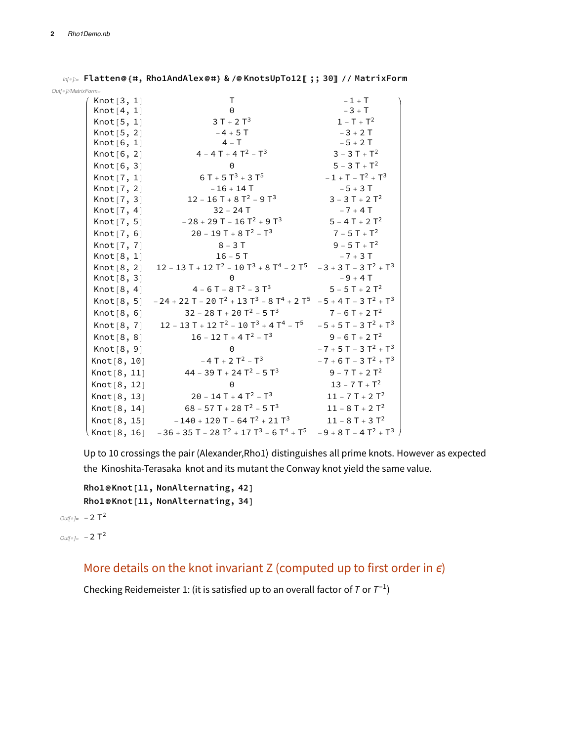In[]:= Flatten@{#, Rho1AndAlex@#} & /@ KnotsUpTo12〚 ;; 30〛 // MatrixForm Out[<sup>®</sup>]//MatrixForm=

Knot[3, 1] T  $-1 + T$  $Knot[4, 1]$  0  $-3 + T$ Knot $[5, 1]$  3 T + 2 T<sup>3</sup> 1 - T + T<sup>2</sup>  $Knot [5, 2]$   $-4 + 5T$   $-3 + 2T$ <br> $Knot [6, 1]$   $4 - T$   $-5 + 2T$ Knot[6, 1]  $4 - T$   $-5 + 2T$ <br>Knot[6, 2]  $4 - 4T + 4T^2 - T^3$   $3 - 3T + T^2$ Knot $[6, 2]$  4 - 4 T + 4 T<sup>2</sup> - T<sup>3</sup> Knot[6, 3] 0 5 - 3 T +  $T^2$ Knot $[7, 1]$ <br>
Knot $[7, 2]$ <br>  $-16 + 14$  T<br>  $-5 + 3$  T  $Knot[7, 2]$  -16 + 14 T Knot  $[7, 3]$  12 - 16 T + 8 T<sup>2</sup> - 9 T<sup>3</sup> 3 - 3 T + 2 T<sup>2</sup> Knot $[7, 4]$  32 - 24 T  $-7 + 4$  T Knot  $[7, 5]$  -28 + 29 T - 16 T<sup>2</sup> + 9 T<sup>3</sup> 5 - 4 T + 2 T<sup>2</sup> Knot [7, 6] 20 - 19 T + 8  $T^2$  -  $T^3$  7 - 5 T +  $T^2$ Knot[7, 7] 8 - 3 T 9 - 5 T +  $T^2$ Knot $[8, 1]$  16 - 5 T -7 + 3 T Knot $[8, 2]$  12 - 13 T + 12 T<sup>2</sup> - 10 T<sup>3</sup> + 8 T<sup>4</sup> - 2 T<sup>5</sup> - 3 + 3 T - 3 T<sup>2</sup> + T<sup>3</sup>  $Knot [8, 3]$  0  $-9 + 4T$ Knot  $[8, 4]$   $4 - 6T + 8T^2 - 3T^3$   $5 - 5T + 2T^2$ Knot  $[8, 5]$  - 24 + 22 T - 20 T<sup>2</sup> + 13 T<sup>3</sup> - 8 T<sup>4</sup> + 2 T<sup>5</sup> - 5 + 4 T - 3 T<sup>2</sup> + T<sup>3</sup> Knot  $[8, 6]$  32 - 28 T + 20 T<sup>2</sup> - 5 T<sup>3</sup> 7 - 6 T + 2 T<sup>2</sup> Knot  $[8, 7]$  12 - 13 T + 12 T<sup>2</sup> - 10 T<sup>3</sup> + 4 T<sup>4</sup> - T<sup>5</sup> - 5 + 5 T - 3 T<sup>2</sup> + T<sup>3</sup> Knot  $[8, 8]$  16 - 12 T + 4 T<sup>2</sup> - T<sup>3</sup> 9 - 6 T + 2 T<sup>2</sup> Knot $[8, 9]$  0  $-7 + 5T - 3T^2 + T^3$ Knot  $[8, 10]$   $-4T + 2T^2 - T^3$   $-7 + 6T - 3T^2 + T^3$ Knot  $[8, 11]$  44 - 39 T + 24 T<sup>2</sup> - 5 T<sup>3</sup> 9 - 7 T + 2 T<sup>2</sup> Knot[8, 12] 0 13 - 7 T +  $T^2$ Knot  $[8, 13]$  20 - 14 T + 4 T<sup>2</sup> - T<sup>3</sup> 11 - 7 T + 2 T<sup>2</sup> Knot $[8, 14]$  68 - 57 T + 28 T<sup>2</sup> - 5 T<sup>3</sup> 11 - 8 T + 2 T<sup>2</sup> Knot $[8, 15]$  -140 + 120 T - 64  $T^2$  + 21  $T^3$  11 - 8 T + 3  $T^2$ Knot  $[8, 16]$  - 36 + 35 T - 28 T<sup>2</sup> + 17 T<sup>3</sup> - 6 T<sup>4</sup> + T<sup>5</sup> - 9 + 8 T - 4 T<sup>2</sup> + T<sup>3</sup>

Up to 10 crossings the pair (Alexander,Rho1) distinguishes all prime knots. However as expected the Kinoshita-Terasaka knot and its mutant the Conway knot yield the same value.

```
Rho1@Knot[11, NonAlternating, 42]
Rho1@Knot[11, NonAlternating, 34]
```

```
Outf\circ = -2 T<sup>2</sup>
```

```
Out[<sup>°</sup>] = -2 T<sup>2</sup>
```
More details on the knot invariant Z (computed up to first order in  $\epsilon$ )

Checking Reidemeister 1: (it is satisfied up to an overall factor of T or  $T^{-1}$ )